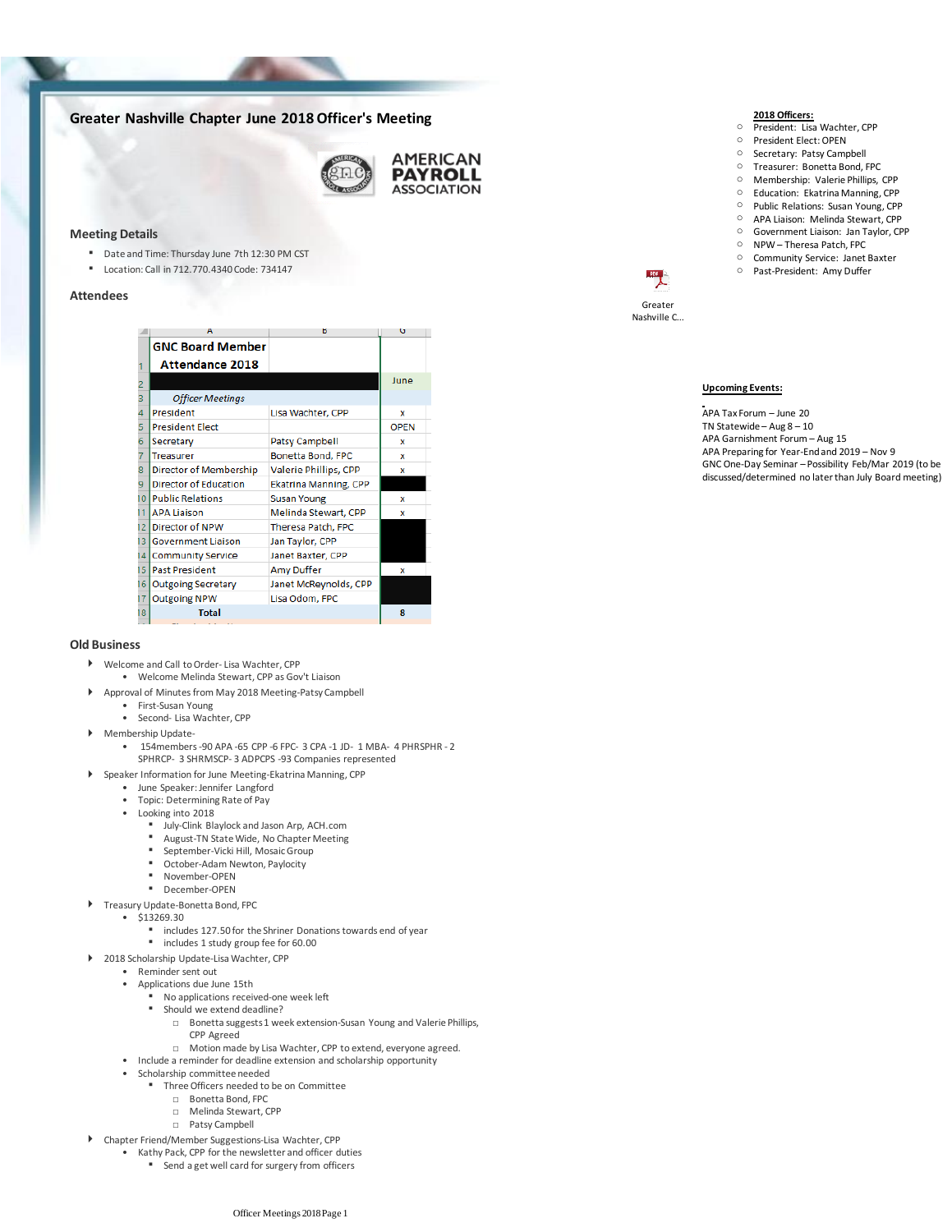# **Greater Nashville Chapter June 2018 Officer's Meeting**



#### **Meeting Details**

- Date and Time: Thursday June 7th 12:30 PM CST
- Location: Call in 712.770.4340 Code: 734147

## **Attendees**

|    |                              |                              | ີ           |
|----|------------------------------|------------------------------|-------------|
|    | <b>GNC Board Member</b>      |                              |             |
|    | <b>Attendance 2018</b>       |                              |             |
|    |                              |                              | June        |
| 3  | <b>Officer Meetings</b>      |                              |             |
| 4  | President                    | Lisa Wachter, CPP            | x           |
| 5  | <b>President Elect</b>       |                              | <b>OPEN</b> |
| 6  | Secretary                    | Patsy Campbell               | x           |
|    | <b>Treasurer</b>             | Bonetta Bond, FPC            | x           |
| 8  | Director of Membership       | Valerie Phillips, CPP        | x           |
| 9  | <b>Director of Education</b> | <b>Ekatrina Manning, CPP</b> |             |
| 10 | <b>Public Relations</b>      | <b>Susan Young</b>           | x           |
| 11 | <b>APA Liaison</b>           | Melinda Stewart, CPP         | x           |
| 12 | Director of NPW              | <b>Theresa Patch, FPC</b>    |             |
| 13 | <b>Government Liaison</b>    | Jan Taylor, CPP              |             |
| 14 | <b>Community Service</b>     | Janet Baxter, CPP            |             |
| 15 | <b>Past President</b>        | <b>Amy Duffer</b>            | x           |
| 16 | <b>Outgoing Secretary</b>    | Janet McReynolds, CPP        |             |
| 17 | <b>Outgoing NPW</b>          | Lisa Odom, FPC               |             |
| 18 | <b>Total</b>                 |                              | 8           |
|    |                              |                              |             |

#### **Old Business**

- Welcome and Call to Order- Lisa Wachter, CPP
	- Welcome Melinda Stewart, CPP as Gov't Liaison
	- Approval of Minutes from May 2018 Meeting-Patsy Campbell
	- First-Susan Young
	- Second- Lisa Wachter, CPP
- Membership Update-
	- 154 members 90 APA 65 CPP 6 FPC 3 CPA 1 JD 1 MBA 4 PHRSPHR 2 SPHRCP- 3 SHRMSCP- 3 ADPCPS -93 Companies represented
- Speaker Information for June Meeting-Ekatrina Manning, CPP
	- June Speaker: Jennifer Langford
	- Topic: Determining Rate of Pay
	- Looking into 2018
		- July-Clink Blaylock and Jason Arp, ACH.com<br>■ August TN State Wide, No Chapter Meeting
		- August-TN State Wide, No Chapter Meeting
		- September-Vicki Hill, Mosaic Group
		- October-Adam Newton, Paylocity
		- November-OPEN
		- December-OPEN
- ▶ Treasury Update-Bonetta Bond, FPC
	- \$13269.30
		- includes 127.50 for the Shriner Donations towards end of year
	- includes 1 study group fee for 60.00
- 2018 Scholarship Update-Lisa Wachter, CPP
	- Reminder sent out
	- Applications due June 15th
		- No applications received-one week left
		- Should we extend deadline?
			- □ Bonetta suggests 1 week extension-Susan Young and Valerie Phillips, CPP Agreed
			- □ Motion made by Lisa Wachter, CPP to extend, everyone agreed.
	- Include a reminder for deadline extension and scholarship opportunity
	- Scholarship committee needed
		- Three Officers needed to be on Committee
			- □ Bonetta Bond, FPC
			- □ Melinda Stewart, CPP
			- □ Patsy Campbell
- Chapter Friend/Member Suggestions-Lisa Wachter, CPP
	- Kathy Pack, CPP for the newsletter and officer duties
		- Send a get well card for surgery from officers
- **2018 Officers:**
- O President: Lisa Wachter, CPP
- President Elect: OPEN
- o Secretary: Patsy Campbell
- o Treasurer: Bonetta Bond, FPC
- <sup>O</sup> Membership: Valerie Phillips, CPP
- Education: Ekatrina Manning, CPP<br>○ Public Relations: Susan Young. CPP
- Public Relations: Susan Young, CPP
- APA Liaison: Melinda Stewart, CPP
- o Government Liaison: Jan Taylor, CPP
- o NPW Theresa Patch, FPC
- o Community Service: Janet Baxter
- o Past-President: Amy Duffer

Greater Nashville C...

## **Upcoming Events:**

APA Tax Forum – June 20 TN Statewide – Aug 8 – 10 APA Garnishment Forum – Aug 15 APA Preparing for Year-End and 2019 – Nov 9 GNC One-Day Seminar – Possibility Feb/Mar 2019 (to be discussed/determined no later than July Board meeting)